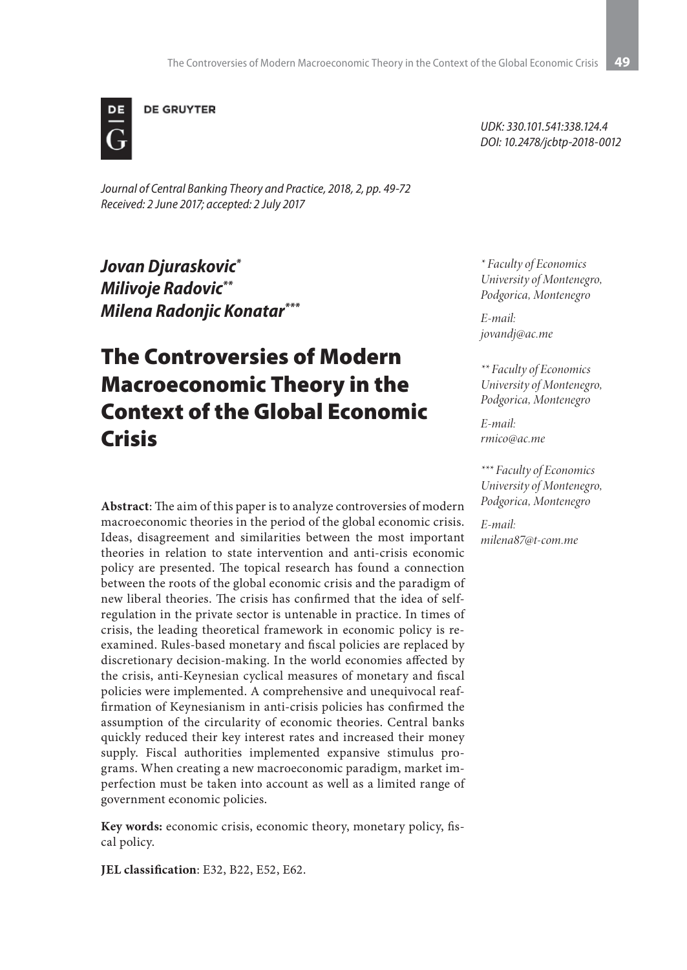

**DE GRUYTER** 

*Journal of Central Banking Theory and Practice, 2018, 2, pp. 49-72 Received: 2 June 2017; accepted: 2 July 2017*

*Jovan Djuraskovic\* Milivoje Radovic\*\* Milena Radonjic Konatar\*\*\**

# The Controversies of Modern Macroeconomic Theory in the Context of the Global Economic Crisis

**Abstract**: The aim of this paper is to analyze controversies of modern macroeconomic theories in the period of the global economic crisis. Ideas, disagreement and similarities between the most important theories in relation to state intervention and anti-crisis economic policy are presented. The topical research has found a connection between the roots of the global economic crisis and the paradigm of new liberal theories. The crisis has confirmed that the idea of selfregulation in the private sector is untenable in practice. In times of crisis, the leading theoretical framework in economic policy is reexamined. Rules-based monetary and fiscal policies are replaced by discretionary decision-making. In the world economies affected by the crisis, anti-Keynesian cyclical measures of monetary and fiscal policies were implemented. A comprehensive and unequivocal reaffirmation of Keynesianism in anti-crisis policies has confirmed the assumption of the circularity of economic theories. Central banks quickly reduced their key interest rates and increased their money supply. Fiscal authorities implemented expansive stimulus programs. When creating a new macroeconomic paradigm, market imperfection must be taken into account as well as a limited range of government economic policies.

**Key words:** economic crisis, economic theory, monetary policy, fiscal policy.

**JEL classification**: E32, B22, E52, E62.

*UDK: 330.101.541:338.124.4 DOI: 10.2478/jcbtp-2018-0012*

*\* Faculty of Economics University of Montenegro, Podgorica, Montenegro*

*E-mail: jovandj@ac.me*

*\*\* Faculty of Economics University of Montenegro, Podgorica, Montenegro*

*E-mail: rmico@ac.me*

*\*\*\* Faculty of Economics University of Montenegro, Podgorica, Montenegro*

*E-mail: milena87@t-com.me*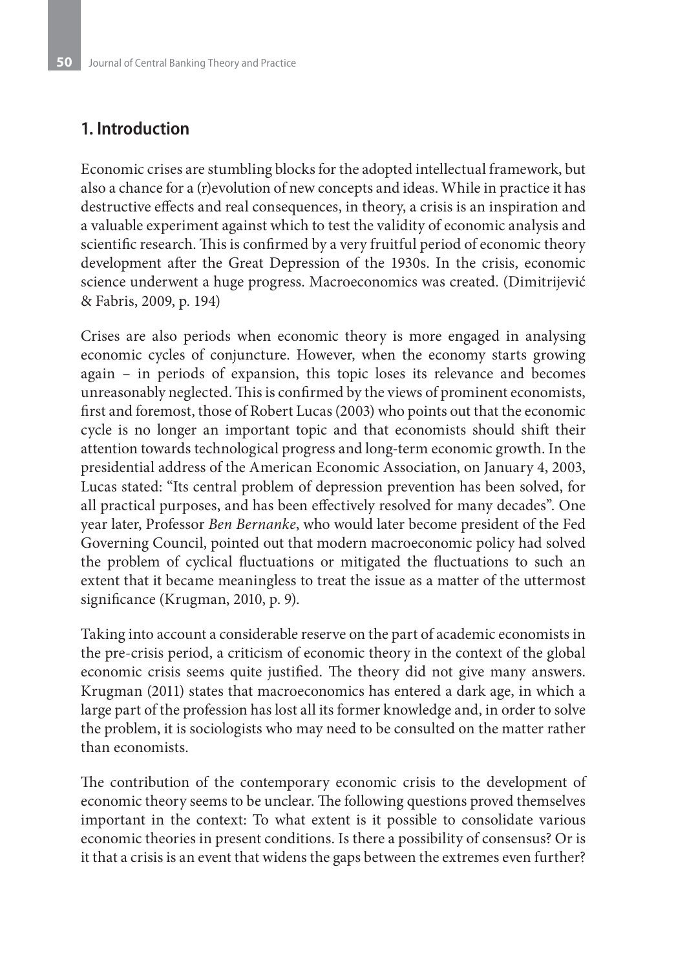# **1. Introduction**

Economic crises are stumbling blocks for the adopted intellectual framework, but also a chance for a (r)evolution of new concepts and ideas. While in practice it has destructive effects and real consequences, in theory, a crisis is an inspiration and a valuable experiment against which to test the validity of economic analysis and scientific research. This is confirmed by a very fruitful period of economic theory development after the Great Depression of the 1930s. In the crisis, economic science underwent a huge progress. Macroeconomics was created. (Dimitrijević & Fabris, 2009, p. 194)

Crises are also periods when economic theory is more engaged in analysing economic cycles of conjuncture. However, when the economy starts growing again – in periods of expansion, this topic loses its relevance and becomes unreasonably neglected. This is confirmed by the views of prominent economists, first and foremost, those of Robert Lucas (2003) who points out that the economic cycle is no longer an important topic and that economists should shift their attention towards technological progress and long-term economic growth. In the presidential address of the American Economic Association, on January 4, 2003, Lucas stated: "Its central problem of depression prevention has been solved, for all practical purposes, and has been effectively resolved for many decades". One year later, Professor *Ben Bernanke*, who would later become president of the Fed Governing Council, pointed out that modern macroeconomic policy had solved the problem of cyclical fluctuations or mitigated the fluctuations to such an extent that it became meaningless to treat the issue as a matter of the uttermost significance (Krugman, 2010, p. 9).

Taking into account a considerable reserve on the part of academic economists in the pre-crisis period, a criticism of economic theory in the context of the global economic crisis seems quite justified. The theory did not give many answers. Krugman (2011) states that macroeconomics has entered a dark age, in which a large part of the profession has lost all its former knowledge and, in order to solve the problem, it is sociologists who may need to be consulted on the matter rather than economists.

The contribution of the contemporary economic crisis to the development of economic theory seems to be unclear. The following questions proved themselves important in the context: To what extent is it possible to consolidate various economic theories in present conditions. Is there a possibility of consensus? Or is it that a crisis is an event that widens the gaps between the extremes even further?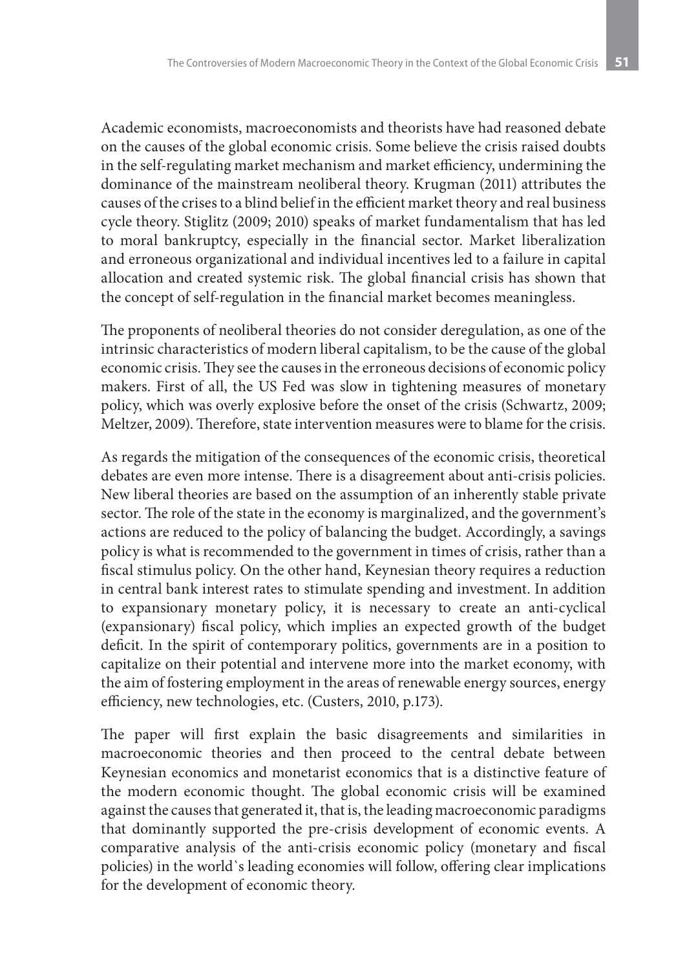Academic economists, macroeconomists and theorists have had reasoned debate on the causes of the global economic crisis. Some believe the crisis raised doubts in the self-regulating market mechanism and market efficiency, undermining the dominance of the mainstream neoliberal theory. Krugman (2011) attributes the causes of the crises to a blind belief in the efficient market theory and real business cycle theory. Stiglitz (2009; 2010) speaks of market fundamentalism that has led to moral bankruptcy, especially in the financial sector. Market liberalization and erroneous organizational and individual incentives led to a failure in capital allocation and created systemic risk. The global financial crisis has shown that the concept of self-regulation in the financial market becomes meaningless.

The proponents of neoliberal theories do not consider deregulation, as one of the intrinsic characteristics of modern liberal capitalism, to be the cause of the global economic crisis. They see the causes in the erroneous decisions of economic policy makers. First of all, the US Fed was slow in tightening measures of monetary policy, which was overly explosive before the onset of the crisis (Schwartz, 2009; Meltzer, 2009). Therefore, state intervention measures were to blame for the crisis.

As regards the mitigation of the consequences of the economic crisis, theoretical debates are even more intense. There is a disagreement about anti-crisis policies. New liberal theories are based on the assumption of an inherently stable private sector. The role of the state in the economy is marginalized, and the government's actions are reduced to the policy of balancing the budget. Accordingly, a savings policy is what is recommended to the government in times of crisis, rather than a fiscal stimulus policy. On the other hand, Keynesian theory requires a reduction in central bank interest rates to stimulate spending and investment. In addition to expansionary monetary policy, it is necessary to create an anti-cyclical (expansionary) fiscal policy, which implies an expected growth of the budget deficit. In the spirit of contemporary politics, governments are in a position to capitalize on their potential and intervene more into the market economy, with the aim of fostering employment in the areas of renewable energy sources, energy efficiency, new technologies, etc. (Custers, 2010, p.173).

The paper will first explain the basic disagreements and similarities in macroeconomic theories and then proceed to the central debate between Keynesian economics and monetarist economics that is a distinctive feature of the modern economic thought. The global economic crisis will be examined against the causes that generated it, that is, the leading macroeconomic paradigms that dominantly supported the pre-crisis development of economic events. A comparative analysis of the anti-crisis economic policy (monetary and fiscal policies) in the world`s leading economies will follow, offering clear implications for the development of economic theory.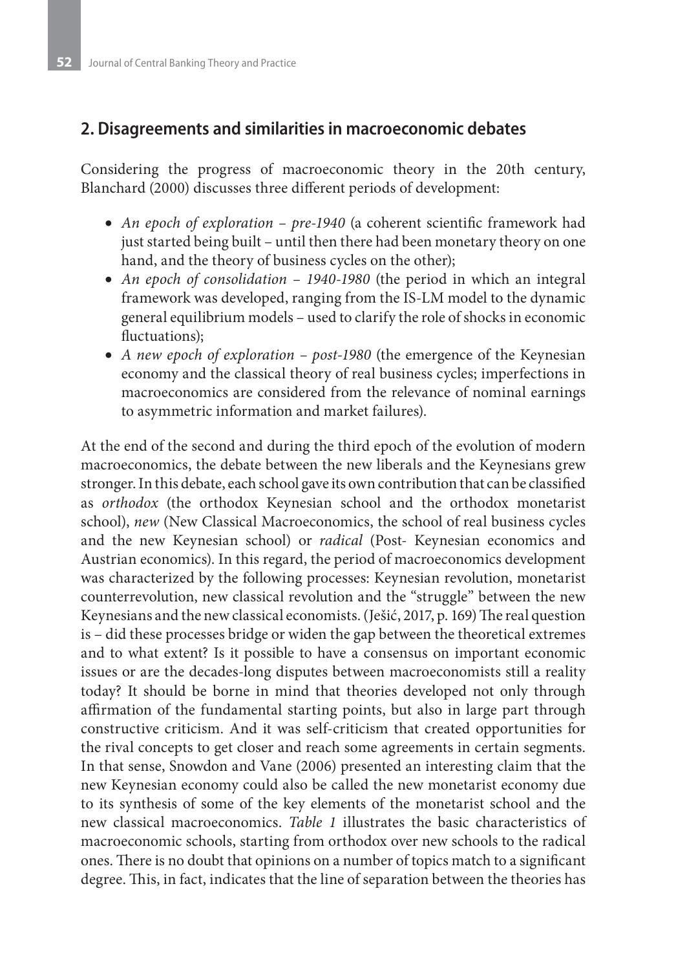## **2. Disagreements and similarities in macroeconomic debates**

Considering the progress of macroeconomic theory in the 20th century, Blanchard (2000) discusses three different periods of development:

- *An epoch of exploration pre-1940* (a coherent scientific framework had just started being built – until then there had been monetary theory on one hand, and the theory of business cycles on the other);
- *An epoch of consolidation 1940-1980* (the period in which an integral framework was developed, ranging from the IS-LM model to the dynamic general equilibrium models – used to clarify the role of shocks in economic fluctuations);
- A new epoch of exploration post-1980 (the emergence of the Keynesian economy and the classical theory of real business cycles; imperfections in macroeconomics are considered from the relevance of nominal earnings to asymmetric information and market failures).

At the end of the second and during the third epoch of the evolution of modern macroeconomics, the debate between the new liberals and the Keynesians grew stronger. In this debate, each school gave its own contribution that can be classified as *orthodox* (the orthodox Keynesian school and the orthodox monetarist school), *new* (New Classical Macroeconomics, the school of real business cycles and the new Keynesian school) or *radical* (Post- Keynesian economics and Austrian economics). In this regard, the period of macroeconomics development was characterized by the following processes: Keynesian revolution, monetarist counterrevolution, new classical revolution and the "struggle" between the new Keynesians and the new classical economists. (Ješić, 2017, p. 169) The real question is – did these processes bridge or widen the gap between the theoretical extremes and to what extent? Is it possible to have a consensus on important economic issues or are the decades-long disputes between macroeconomists still a reality today? It should be borne in mind that theories developed not only through affirmation of the fundamental starting points, but also in large part through constructive criticism. And it was self-criticism that created opportunities for the rival concepts to get closer and reach some agreements in certain segments. In that sense, Snowdon and Vane (2006) presented an interesting claim that the new Keynesian economy could also be called the new monetarist economy due to its synthesis of some of the key elements of the monetarist school and the new classical macroeconomics. *Table 1* illustrates the basic characteristics of macroeconomic schools, starting from orthodox over new schools to the radical ones. There is no doubt that opinions on a number of topics match to a significant degree. This, in fact, indicates that the line of separation between the theories has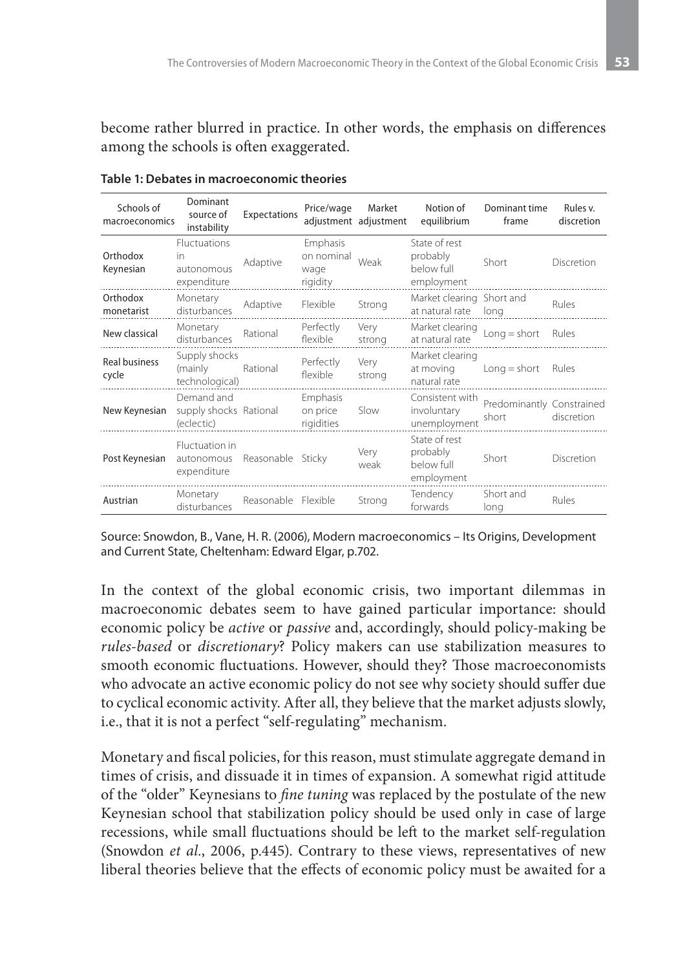become rather blurred in practice. In other words, the emphasis on differences among the schools is often exaggerated.

| Schools of<br>macroeconomics  | Dominant<br>source of<br>instability               | Expectations        | Price/wage                                 | Market<br>adjustment adjustment | Notion of<br>equilibrium                              | Dominant time<br>frame             | Rules v.<br>discretion |
|-------------------------------|----------------------------------------------------|---------------------|--------------------------------------------|---------------------------------|-------------------------------------------------------|------------------------------------|------------------------|
| Orthodox<br>Keynesian         | Fluctuations<br>in<br>autonomous<br>expenditure    | Adaptive            | Emphasis<br>on nominal<br>wage<br>rigidity | Weak                            | State of rest<br>probably<br>below full<br>employment | Short                              | Discretion             |
| Orthodox<br>monetarist        | Monetary<br>disturbances                           | Adaptive            | Flexible                                   | Strong                          | Market clearing Short and<br>at natural rate          | long                               | Rules                  |
| New classical                 | Monetary<br>disturbances                           | Rational            | Perfectly<br>flexible                      | Very<br>strong                  | Market clearing<br>at natural rate                    | $Long = short$                     | Rules                  |
| <b>Real business</b><br>cycle | Supply shocks<br>(mainly<br>technological)         | Rational            | Perfectly<br>flexible                      | Very<br>strong                  | Market clearing<br>at moving<br>natural rate          | $Long = short$                     | Rules                  |
| New Keynesian                 | Demand and<br>supply shocks Rational<br>(eclectic) |                     | Emphasis<br>on price<br>rigidities         | Slow                            | Consistent with<br>involuntary<br>unemployment        | Predominantly Constrained<br>short | discretion             |
| Post Keynesian                | Fluctuation in<br>autonomous<br>expenditure        | Reasonable Sticky   |                                            | Very<br>weak                    | State of rest<br>probably<br>below full<br>employment | Short                              | Discretion             |
| Austrian                      | Monetary<br>disturbances                           | Reasonable Flexible |                                            | Strong                          | Tendency<br>forwards                                  | Short and<br>long                  | Rules                  |

**Table 1: Debates in macroeconomic theories**

Source: Snowdon, B., Vane, H. R. (2006), Modern macroeconomics – Its Origins, Development and Current State, Cheltenham: Edward Elgar, p.702.

In the context of the global economic crisis, two important dilemmas in macroeconomic debates seem to have gained particular importance: should economic policy be *active* or *passive* and, accordingly, should policy-making be *rules-based* or *discretionary*? Policy makers can use stabilization measures to smooth economic fluctuations. However, should they? Those macroeconomists who advocate an active economic policy do not see why society should suffer due to cyclical economic activity. After all, they believe that the market adjusts slowly, i.e., that it is not a perfect "self-regulating" mechanism.

Monetary and fiscal policies, for this reason, must stimulate aggregate demand in times of crisis, and dissuade it in times of expansion. A somewhat rigid attitude of the "older" Keynesians to *fine tuning* was replaced by the postulate of the new Keynesian school that stabilization policy should be used only in case of large recessions, while small fluctuations should be left to the market self-regulation (Snowdon *et al.*, 2006, p.445). Contrary to these views, representatives of new liberal theories believe that the effects of economic policy must be awaited for a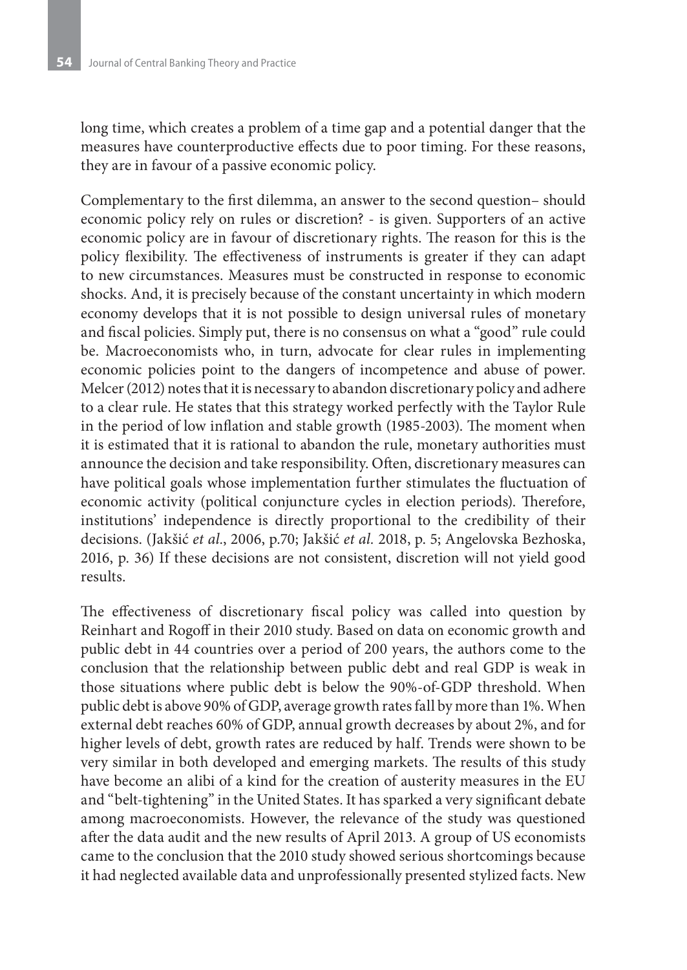long time, which creates a problem of a time gap and a potential danger that the measures have counterproductive effects due to poor timing. For these reasons, they are in favour of a passive economic policy.

Complementary to the first dilemma, an answer to the second question– should economic policy rely on rules or discretion? - is given. Supporters of an active economic policy are in favour of discretionary rights. The reason for this is the policy flexibility. The effectiveness of instruments is greater if they can adapt to new circumstances. Measures must be constructed in response to economic shocks. And, it is precisely because of the constant uncertainty in which modern economy develops that it is not possible to design universal rules of monetary and fiscal policies. Simply put, there is no consensus on what a "good" rule could be. Macroeconomists who, in turn, advocate for clear rules in implementing economic policies point to the dangers of incompetence and abuse of power. Melcer (2012) notes that it is necessary to abandon discretionary policy and adhere to a clear rule. He states that this strategy worked perfectly with the Taylor Rule in the period of low inflation and stable growth (1985-2003). The moment when it is estimated that it is rational to abandon the rule, monetary authorities must announce the decision and take responsibility. Often, discretionary measures can have political goals whose implementation further stimulates the fluctuation of economic activity (political conjuncture cycles in election periods). Therefore, institutions' independence is directly proportional to the credibility of their decisions. (Jakšić *et al.*, 2006, p.70; Jakšić *et al.* 2018, p. 5; Angelovska Bezhoska, 2016, p. 36) If these decisions are not consistent, discretion will not yield good results.

The effectiveness of discretionary fiscal policy was called into question by Reinhart and Rogoff in their 2010 study. Based on data on economic growth and public debt in 44 countries over a period of 200 years, the authors come to the conclusion that the relationship between public debt and real GDP is weak in those situations where public debt is below the 90%-of-GDP threshold. When public debt is above 90% of GDP, average growth rates fall by more than 1%. When external debt reaches 60% of GDP, annual growth decreases by about 2%, and for higher levels of debt, growth rates are reduced by half. Trends were shown to be very similar in both developed and emerging markets. The results of this study have become an alibi of a kind for the creation of austerity measures in the EU and "belt-tightening" in the United States. It has sparked a very significant debate among macroeconomists. However, the relevance of the study was questioned after the data audit and the new results of April 2013. A group of US economists came to the conclusion that the 2010 study showed serious shortcomings because it had neglected available data and unprofessionally presented stylized facts. New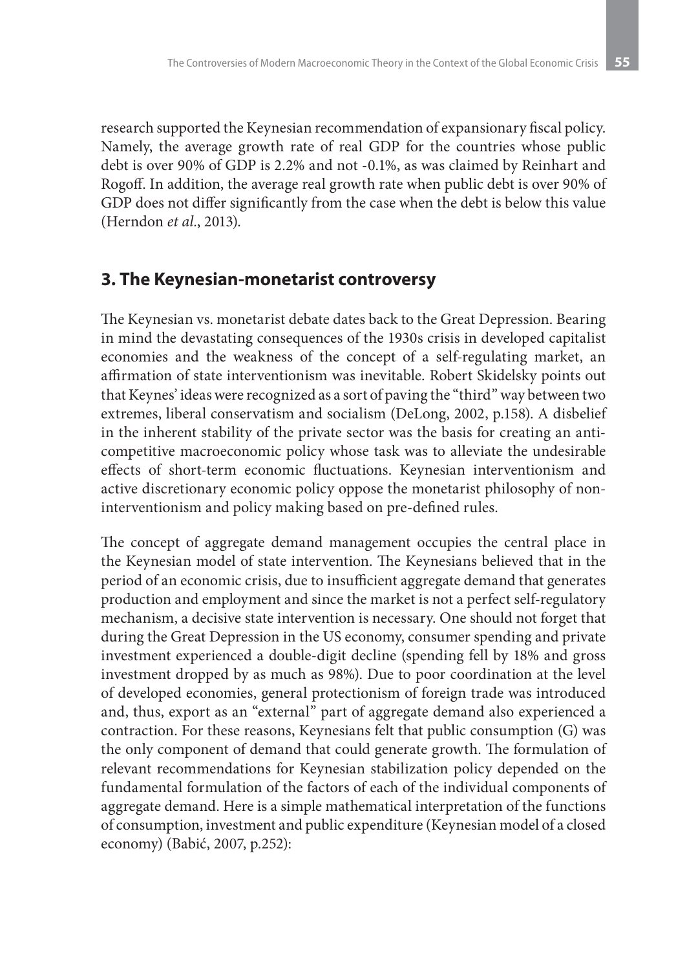research supported the Keynesian recommendation of expansionary fiscal policy. Namely, the average growth rate of real GDP for the countries whose public debt is over 90% of GDP is 2.2% and not -0.1%, as was claimed by Reinhart and Rogoff. In addition, the average real growth rate when public debt is over 90% of GDP does not differ significantly from the case when the debt is below this value (Herndon *et al.*, 2013).

# **3. The Keynesian-monetarist controversy**

The Keynesian vs. monetarist debate dates back to the Great Depression. Bearing in mind the devastating consequences of the 1930s crisis in developed capitalist economies and the weakness of the concept of a self-regulating market, an affirmation of state interventionism was inevitable. Robert Skidelsky points out that Keynes' ideas were recognized as a sort of paving the "third" way between two extremes, liberal conservatism and socialism (DeLong, 2002, p.158). A disbelief in the inherent stability of the private sector was the basis for creating an anticompetitive macroeconomic policy whose task was to alleviate the undesirable effects of short-term economic fluctuations. Keynesian interventionism and active discretionary economic policy oppose the monetarist philosophy of noninterventionism and policy making based on pre-defined rules.

The concept of aggregate demand management occupies the central place in the Keynesian model of state intervention. The Keynesians believed that in the period of an economic crisis, due to insufficient aggregate demand that generates production and employment and since the market is not a perfect self-regulatory mechanism, a decisive state intervention is necessary. One should not forget that during the Great Depression in the US economy, consumer spending and private investment experienced a double-digit decline (spending fell by 18% and gross investment dropped by as much as 98%). Due to poor coordination at the level of developed economies, general protectionism of foreign trade was introduced and, thus, export as an "external" part of aggregate demand also experienced a contraction. For these reasons, Keynesians felt that public consumption (G) was the only component of demand that could generate growth. The formulation of relevant recommendations for Keynesian stabilization policy depended on the fundamental formulation of the factors of each of the individual components of aggregate demand. Here is a simple mathematical interpretation of the functions of consumption, investment and public expenditure (Keynesian model of a closed economy) (Babić, 2007, p.252):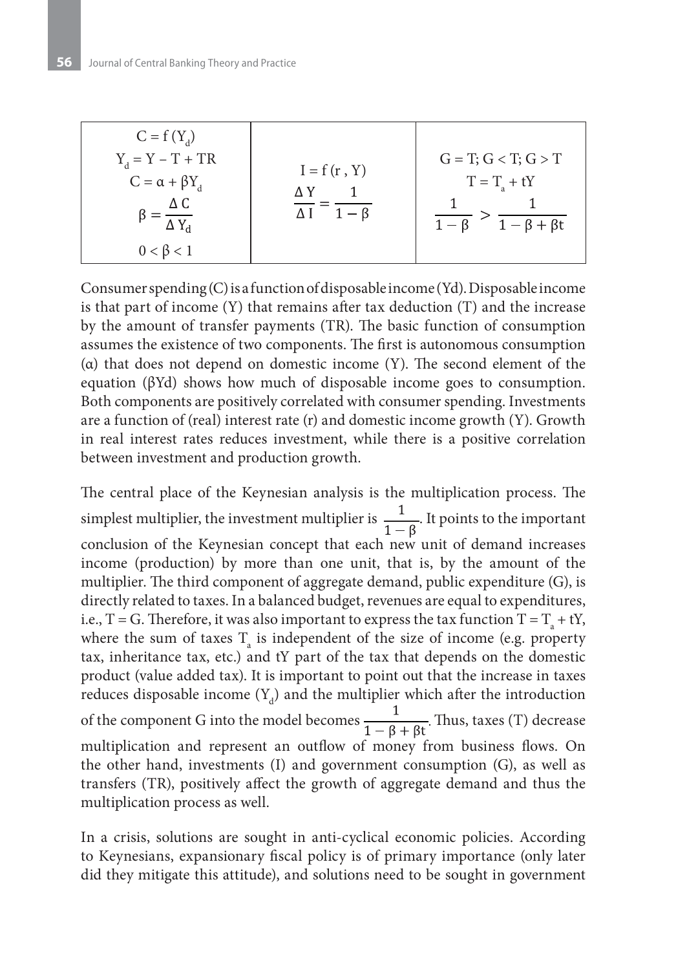| $C = f(Y_d)$<br>$Y_{d} = Y - T + TR$<br>$C = \alpha + \beta Y_d$<br>ΔC<br>$\Delta Y_d$<br>$0 < \beta < 1$ | $I = f(r, Y)$<br>ΛΥ<br>$1-\beta$ | $G = T; G < T; G > T$<br>$T = T_a + tY$<br>$\frac{1}{1-\beta+\beta t}$ |
|-----------------------------------------------------------------------------------------------------------|----------------------------------|------------------------------------------------------------------------|
|-----------------------------------------------------------------------------------------------------------|----------------------------------|------------------------------------------------------------------------|

Consumer spending (C) is a function of disposable income (Yd). Disposable income is that part of income (Y) that remains after tax deduction (T) and the increase by the amount of transfer payments (TR). The basic function of consumption assumes the existence of two components. The first is autonomous consumption (α) that does not depend on domestic income (Y). The second element of the equation (βYd) shows how much of disposable income goes to consumption. Both components are positively correlated with consumer spending. Investments are a function of (real) interest rate  $(r)$  and domestic income growth  $(Y)$ . Growth in real interest rates reduces investment, while there is a positive correlation between investment and production growth.

The central place of the Keynesian analysis is the multiplication process. The simplest multiplier, the investment multiplier is  $\frac{1}{1-\beta}$ . It points to the important conclusion of the Keynesian concept that each new unit of demand increases income (production) by more than one unit, that is, by the amount of the multiplier. The third component of aggregate demand, public expenditure (G), is directly related to taxes. In a balanced budget, revenues are equal to expenditures, i.e., T = G. Therefore, it was also important to express the tax function T =  $T_a + tY$ , where the sum of taxes  $T_{\scriptscriptstyle a}$  is independent of the size of income (e.g. property tax, inheritance tax, etc.) and tY part of the tax that depends on the domestic product (value added tax). It is important to point out that the increase in taxes reduces disposable income  $(Y_d)$  and the multiplier which after the introduction of the component G into the model becomes  $\frac{1}{1-\beta+\beta t}$ . Thus, taxes (T) decrease multiplication and represent an outflow of money from business flows. On the other hand, investments (I) and government consumption (G), as well as transfers (TR), positively affect the growth of aggregate demand and thus the multiplication process as well.

In a crisis, solutions are sought in anti-cyclical economic policies. According to Keynesians, expansionary fiscal policy is of primary importance (only later did they mitigate this attitude), and solutions need to be sought in government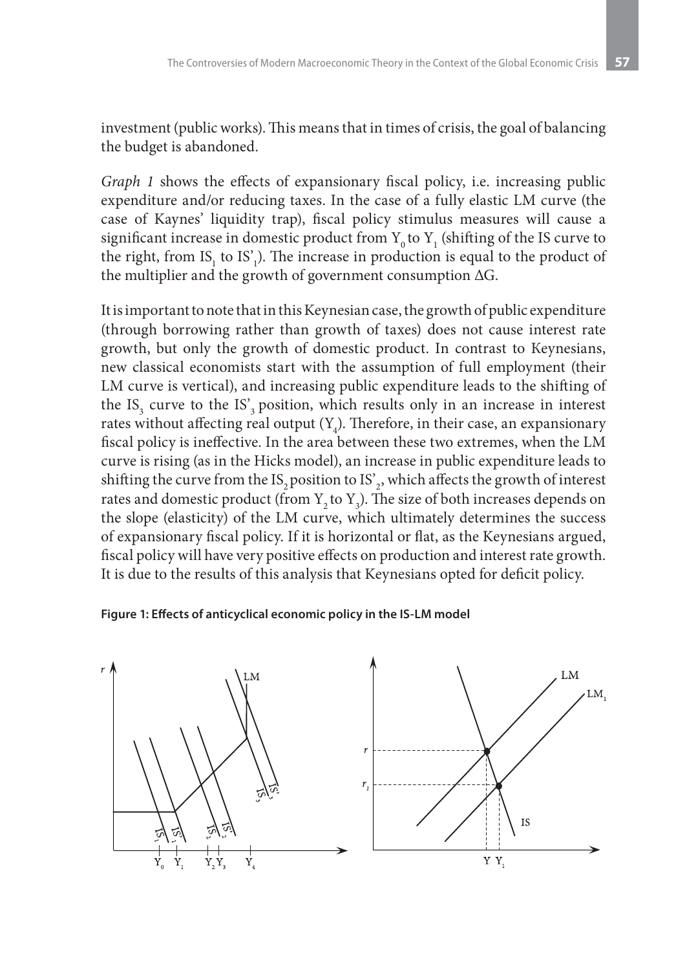investment (public works). This means that in times of crisis, the goal of balancing the budget is abandoned.

*Graph 1* shows the effects of expansionary fiscal policy, i.e. increasing public expenditure and/or reducing taxes. In the case of a fully elastic LM curve (the case of Kaynes' liquidity trap), fiscal policy stimulus measures will cause a significant increase in domestic product from  $Y_0$  to  $Y_1$  (shifting of the IS curve to the right, from  $IS_1$  to  $IS'_1$ ). The increase in production is equal to the product of the multiplier and the growth of government consumption ΔG.

It is important to note that in this Keynesian case, the growth of public expenditure (through borrowing rather than growth of taxes) does not cause interest rate growth, but only the growth of domestic product. In contrast to Кeynesians, new classical economists start with the assumption of full employment (their LM curve is vertical), and increasing public expenditure leads to the shifting of the  $IS_3$  curve to the  $IS'_3$  position, which results only in an increase in interest rates without affecting real output  $(Y_4)$ . Therefore, in their case, an expansionary fiscal policy is ineffective. In the area between these two extremes, when the LM curve is rising (as in the Hicks model), an increase in public expenditure leads to shifting the curve from the IS<sub>2</sub> position to IS'<sub>2</sub>, which affects the growth of interest rates and domestic product (from  $Y_2$  to  $Y_3$ ). The size of both increases depends on the slope (elasticity) of the LM curve, which ultimately determines the success of expansionary fiscal policy. If it is horizontal or flat, as the Keynesians argued, fiscal policy will have very positive effects on production and interest rate growth. It is due to the results of this analysis that Keynesians opted for deficit policy.

#### **Figure 1: Effects of anticyclical economic policy in the IS-LM model**

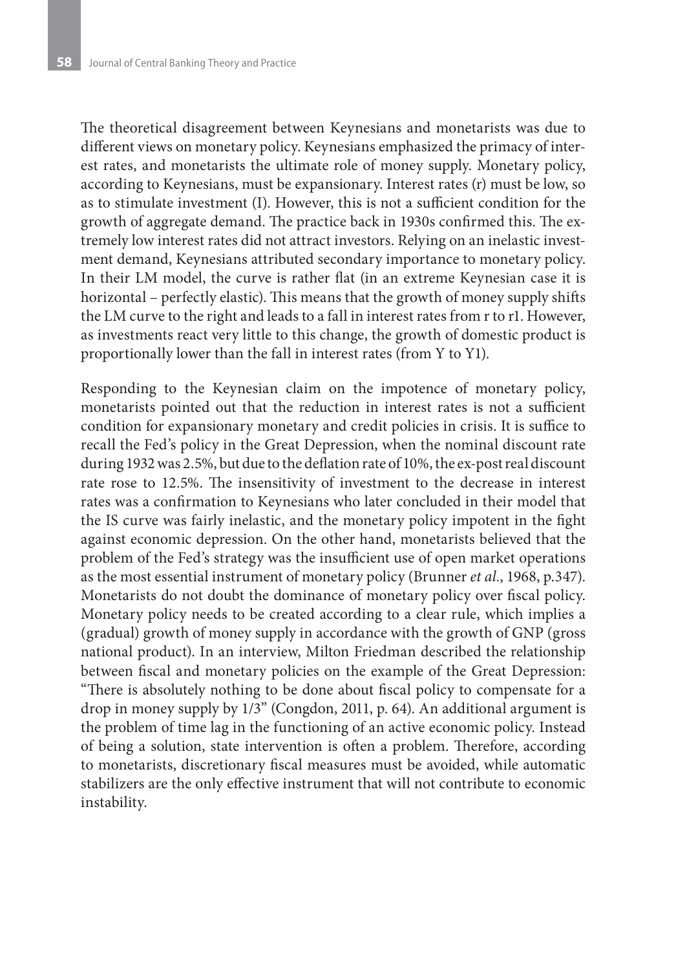The theoretical disagreement between Keynesians and monetarists was due to different views on monetary policy. Keynesians emphasized the primacy of interest rates, and monetarists the ultimate role of money supply. Monetary policy, according to Keynesians, must be expansionary. Interest rates (r) must be low, so as to stimulate investment (I). However, this is not a sufficient condition for the growth of aggregate demand. The practice back in 1930s confirmed this. The extremely low interest rates did not attract investors. Relying on an inelastic investment demand, Keynesians attributed secondary importance to monetary policy. In their LM model, the curve is rather flat (in an extreme Keynesian case it is horizontal – perfectly elastic). This means that the growth of money supply shifts the LM curve to the right and leads to a fall in interest rates from r to r1. However, as investments react very little to this change, the growth of domestic product is proportionally lower than the fall in interest rates (from Y to Y1).

Responding to the Keynesian claim on the impotence of monetary policy, monetarists pointed out that the reduction in interest rates is not a sufficient condition for expansionary monetary and credit policies in crisis. It is suffice to recall the Fed's policy in the Great Depression, when the nominal discount rate during 1932 was 2.5%, but due to the deflation rate of 10%, the ex-post real discount rate rose to 12.5%. The insensitivity of investment to the decrease in interest rates was a confirmation to Keynesians who later concluded in their model that the IS curve was fairly inelastic, and the monetary policy impotent in the fight against economic depression. On the other hand, monetarists believed that the problem of the Fed's strategy was the insufficient use of open market operations as the most essential instrument of monetary policy (Brunner *et al.*, 1968, p.347). Monetarists do not doubt the dominance of monetary policy over fiscal policy. Monetary policy needs to be created according to a clear rule, which implies a (gradual) growth of money supply in accordance with the growth of GNP (gross national product). In an interview, Milton Friedman described the relationship between fiscal and monetary policies on the example of the Great Depression: "There is absolutely nothing to be done about fiscal policy to compensate for a drop in money supply by 1/3" (Congdon, 2011, p. 64). An additional argument is the problem of time lag in the functioning of an active economic policy. Instead of being a solution, state intervention is often a problem. Therefore, according to monetarists, discretionary fiscal measures must be avoided, while automatic stabilizers are the only effective instrument that will not contribute to economic instability.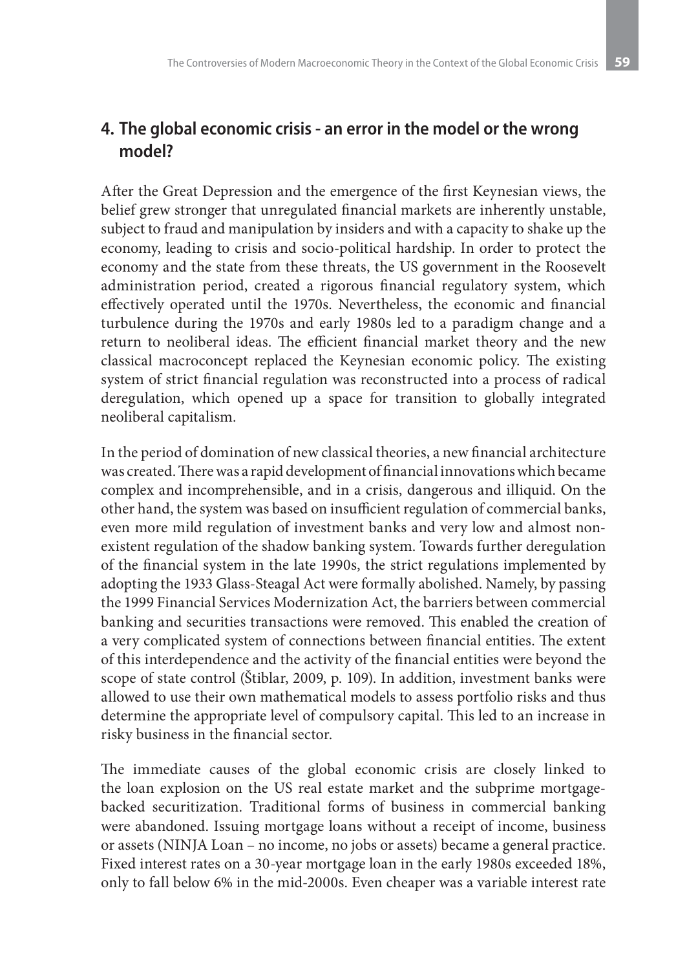# **4. The global economic crisis - an error in the model or the wrong model?**

After the Great Depression and the emergence of the first Keynesian views, the belief grew stronger that unregulated financial markets are inherently unstable, subject to fraud and manipulation by insiders and with a capacity to shake up the economy, leading to crisis and socio-political hardship. In order to protect the economy and the state from these threats, the US government in the Roosevelt administration period, created a rigorous financial regulatory system, which effectively operated until the 1970s. Nevertheless, the economic and financial turbulence during the 1970s and early 1980s led to a paradigm change and a return to neoliberal ideas. The efficient financial market theory and the new classical macroconcept replaced the Keynesian economic policy. The existing system of strict financial regulation was reconstructed into a process of radical deregulation, which opened up a space for transition to globally integrated neoliberal capitalism.

In the period of domination of new classical theories, a new financial architecture was created. There was a rapid development of financial innovations which became complex and incomprehensible, and in a crisis, dangerous and illiquid. On the other hand, the system was based on insufficient regulation of commercial banks, even more mild regulation of investment banks and very low and almost nonexistent regulation of the shadow banking system. Towards further deregulation of the financial system in the late 1990s, the strict regulations implemented by adopting the 1933 Glass-Steagal Act were formally abolished. Namely, by passing the 1999 Financial Services Modernization Act, the barriers between commercial banking and securities transactions were removed. This enabled the creation of a very complicated system of connections between financial entities. The extent of this interdependence and the activity of the financial entities were beyond the scope of state control (Štiblar, 2009, p. 109). In addition, investment banks were allowed to use their own mathematical models to assess portfolio risks and thus determine the appropriate level of compulsory capital. This led to an increase in risky business in the financial sector.

The immediate causes of the global economic crisis are closely linked to the loan explosion on the US real estate market and the subprime mortgagebacked securitization. Traditional forms of business in commercial banking were abandoned. Issuing mortgage loans without a receipt of income, business or assets (NINJA Loan – no income, no jobs or assets) became a general practice. Fixed interest rates on a 30-year mortgage loan in the early 1980s exceeded 18%, only to fall below 6% in the mid-2000s. Even cheaper was a variable interest rate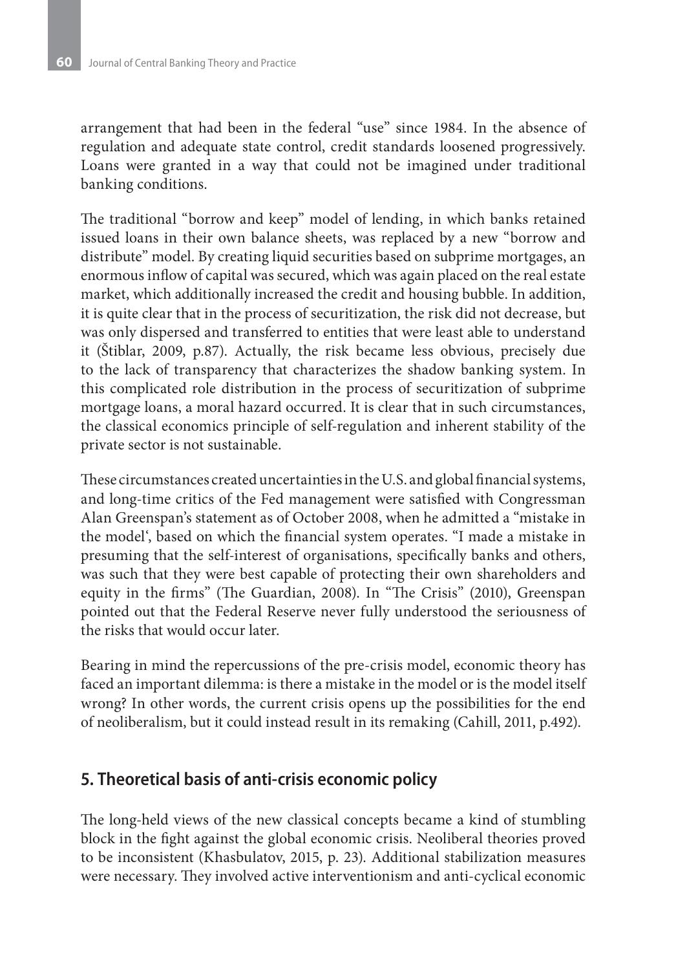arrangement that had been in the federal "use" since 1984. In the absence of regulation and adequate state control, credit standards loosened progressively. Loans were granted in a way that could not be imagined under traditional banking conditions.

The traditional "borrow and keep" model of lending, in which banks retained issued loans in their own balance sheets, was replaced by a new "borrow and distribute" model. By creating liquid securities based on subprime mortgages, an enormous inflow of capital was secured, which was again placed on the real estate market, which additionally increased the credit and housing bubble. In addition, it is quite clear that in the process of securitization, the risk did not decrease, but was only dispersed and transferred to entities that were least able to understand it (Štiblar, 2009, p.87). Actually, the risk became less obvious, precisely due to the lack of transparency that characterizes the shadow banking system. In this complicated role distribution in the process of securitization of subprime mortgage loans, a moral hazard occurred. It is clear that in such circumstances, the classical economics principle of self-regulation and inherent stability of the private sector is not sustainable.

These circumstances created uncertainties in the U.S. and global financial systems, and long-time critics of the Fed management were satisfied with Congressman Alan Greenspan's statement as of October 2008, when he admitted a "mistake in the model', based on which the financial system operates. "I made a mistake in presuming that the self-interest of organisations, specifically banks and others, was such that they were best capable of protecting their own shareholders and equity in the firms" (The Guardian, 2008). In "The Crisis" (2010), Greenspan pointed out that the Federal Reserve never fully understood the seriousness of the risks that would occur later.

Bearing in mind the repercussions of the pre-crisis model, economic theory has faced an important dilemma: is there a mistake in the model or is the model itself wrong? In other words, the current crisis opens up the possibilities for the end of neoliberalism, but it could instead result in its remaking (Cahill, 2011, p.492).

### **5. Theoretical basis of anti-crisis economic policy**

The long-held views of the new classical concepts became a kind of stumbling block in the fight against the global economic crisis. Neoliberal theories proved to be inconsistent (Khasbulatov, 2015, p. 23). Additional stabilization measures were necessary. They involved active interventionism and anti-cyclical economic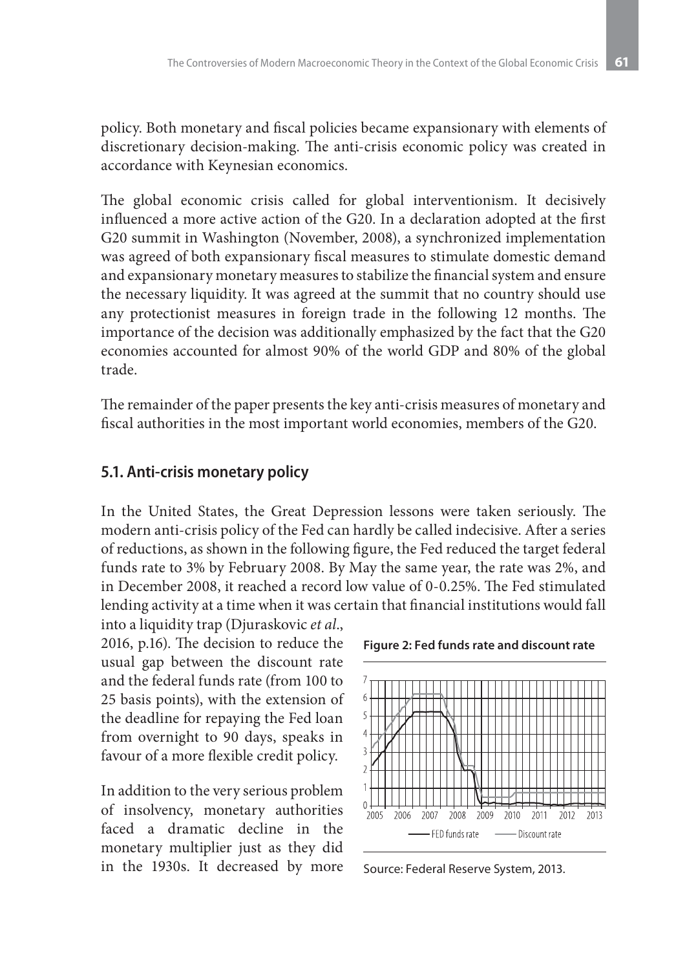policy. Both monetary and fiscal policies became expansionary with elements of discretionary decision-making. The anti-crisis economic policy was created in accordance with Keynesian economics.

The global economic crisis called for global interventionism. It decisively influenced a more active action of the G20. In a declaration adopted at the first G20 summit in Washington (November, 2008), a synchronized implementation was agreed of both expansionary fiscal measures to stimulate domestic demand and expansionary monetary measures to stabilize the financial system and ensure the necessary liquidity. It was agreed at the summit that no country should use any protectionist measures in foreign trade in the following 12 months. The importance of the decision was additionally emphasized by the fact that the G20 economies accounted for almost 90% of the world GDP and 80% of the global trade.

The remainder of the paper presents the key anti-crisis measures of monetary and fiscal authorities in the most important world economies, members of the G20.

#### **5.1. Anti-crisis monetary policy**

In the United States, the Great Depression lessons were taken seriously. The modern anti-crisis policy of the Fed can hardly be called indecisive. After a series of reductions, as shown in the following figure, the Fed reduced the target federal funds rate to 3% by February 2008. By May the same year, the rate was 2%, and in December 2008, it reached a record low value of 0-0.25%. The Fed stimulated lending activity at a time when it was certain that financial institutions would fall

into a liquidity trap (Djuraskovic *et al*., 2016, p.16). The decision to reduce the usual gap between the discount rate and the federal funds rate (from 100 to 25 basis points), with the extension of the deadline for repaying the Fed loan from overnight to 90 days, speaks in favour of a more flexible credit policy.

In addition to the very serious problem of insolvency, monetary authorities faced a dramatic decline in the monetary multiplier just as they did in the 1930s. It decreased by more



**Figure 2: Fed funds rate and discount rate** 

Source: Federal Reserve System, 2013.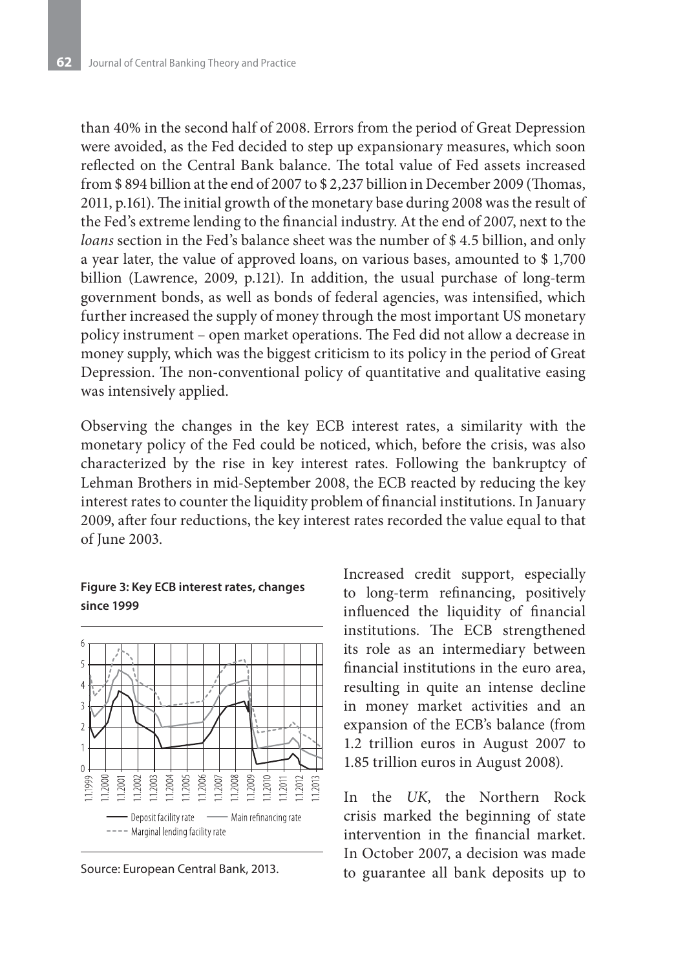than 40% in the second half of 2008. Errors from the period of Great Depression were avoided, as the Fed decided to step up expansionary measures, which soon reflected on the Central Bank balance. The total value of Fed assets increased from \$ 894 billion at the end of 2007 to \$ 2,237 billion in December 2009 (Thomas, 2011, p.161). The initial growth of the monetary base during 2008 was the result of the Fed's extreme lending to the financial industry. At the end of 2007, next to the *loans* section in the Fed's balance sheet was the number of \$ 4.5 billion, and only a year later, the value of approved loans, on various bases, amounted to \$ 1,700 billion (Lawrence, 2009, p.121). In addition, the usual purchase of long-term government bonds, as well as bonds of federal agencies, was intensified, which further increased the supply of money through the most important US monetary policy instrument – open market operations. The Fed did not allow a decrease in money supply, which was the biggest criticism to its policy in the period of Great Depression. The non-conventional policy of quantitative and qualitative easing was intensively applied.

Observing the changes in the key ECB interest rates, a similarity with the monetary policy of the Fed could be noticed, which, before the crisis, was also characterized by the rise in key interest rates. Following the bankruptcy of Lehman Brothers in mid-September 2008, the ECB reacted by reducing the key interest rates to counter the liquidity problem of financial institutions. In January 2009, after four reductions, the key interest rates recorded the value equal to that of June 2003.

#### **Figure 3: Key ECB interest rates, changes since 1999**



Source: European Central Bank, 2013.

Increased credit support, especially to long-term refinancing, positively influenced the liquidity of financial institutions. The ECB strengthened its role as an intermediary between financial institutions in the euro area, resulting in quite an intense decline in money market activities and an expansion of the ECB's balance (from 1.2 trillion euros in August 2007 to 1.85 trillion euros in August 2008).

In the *UK*, the Northern Rock crisis marked the beginning of state intervention in the financial market. In October 2007, a decision was made to guarantee all bank deposits up to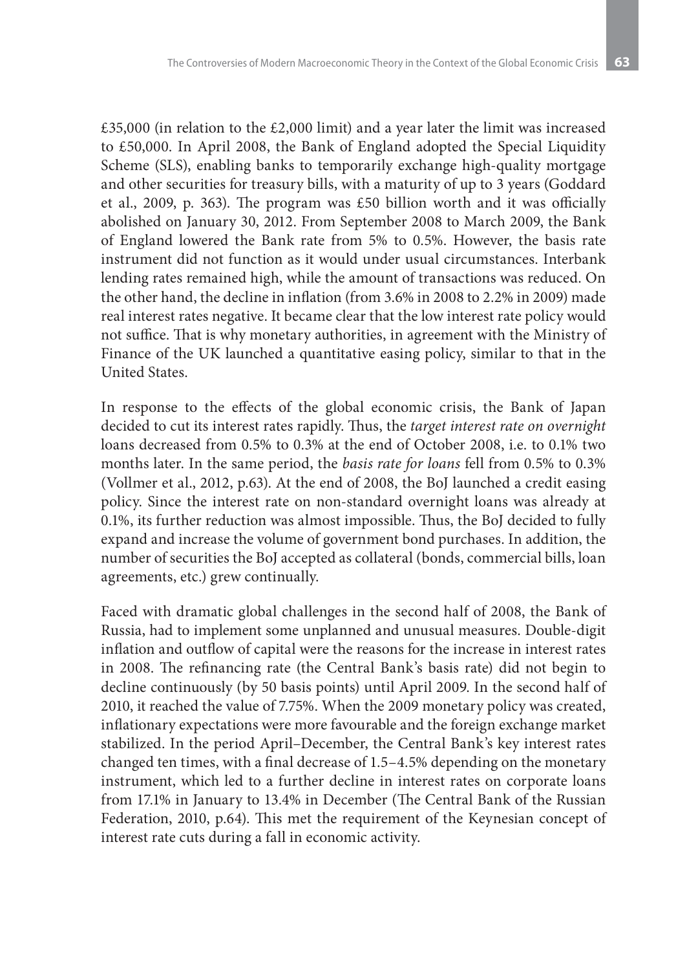£35,000 (in relation to the £2,000 limit) and a year later the limit was increased to £50,000. In April 2008, the Bank of England adopted the Special Liquidity Scheme (SLS), enabling banks to temporarily exchange high-quality mortgage and other securities for treasury bills, with a maturity of up to 3 years (Goddard et al., 2009, p. 363). The program was £50 billion worth and it was officially abolished on January 30, 2012. From September 2008 to March 2009, the Bank of England lowered the Bank rate from 5% to 0.5%. However, the basis rate instrument did not function as it would under usual circumstances. Interbank lending rates remained high, while the amount of transactions was reduced. On the other hand, the decline in inflation (from 3.6% in 2008 to 2.2% in 2009) made real interest rates negative. It became clear that the low interest rate policy would not suffice. That is why monetary authorities, in agreement with the Ministry of Finance of the UK launched a quantitative easing policy, similar to that in the United States.

In response to the effects of the global economic crisis, the Bank of Japan decided to cut its interest rates rapidly. Thus, the *target interest rate on overnight* loans decreased from 0.5% to 0.3% at the end of October 2008, i.e. to 0.1% two months later. In the same period, the *basis rate for loans* fell from 0.5% to 0.3% (Vollmer et al., 2012, p.63). At the end of 2008, the BoJ launched a credit easing policy. Since the interest rate on non-standard overnight loans was already at 0.1%, its further reduction was almost impossible. Thus, the BoJ decided to fully expand and increase the volume of government bond purchases. In addition, the number of securities the BoJ accepted as collateral (bonds, commercial bills, loan agreements, etc.) grew continually.

Faced with dramatic global challenges in the second half of 2008, the Bank of Russia, had to implement some unplanned and unusual measures. Double-digit inflation and outflow of capital were the reasons for the increase in interest rates in 2008. The refinancing rate (the Central Bank's basis rate) did not begin to decline continuously (by 50 basis points) until April 2009. In the second half of 2010, it reached the value of 7.75%. When the 2009 monetary policy was created, inflationary expectations were more favourable and the foreign exchange market stabilized. In the period April–December, the Central Bank's key interest rates changed ten times, with a final decrease of 1.5–4.5% depending on the monetary instrument, which led to a further decline in interest rates on corporate loans from 17.1% in January to 13.4% in December (The Central Bank of the Russian Federation, 2010, p.64). This met the requirement of the Keynesian concept of interest rate cuts during a fall in economic activity.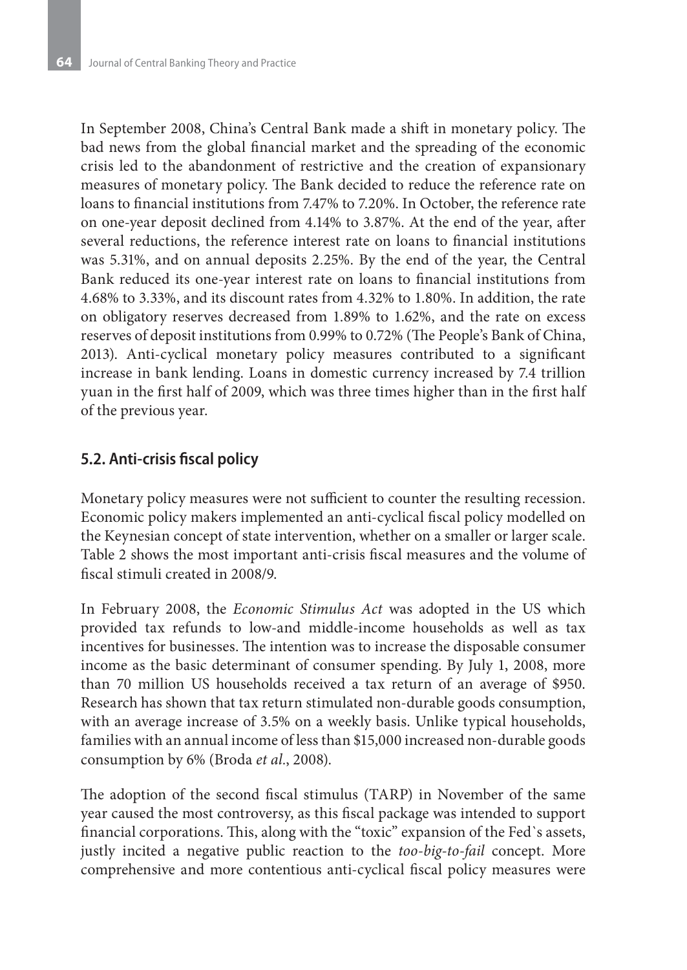In September 2008, China's Central Bank made a shift in monetary policy. The bad news from the global financial market and the spreading of the economic crisis led to the abandonment of restrictive and the creation of expansionary measures of monetary policy. The Bank decided to reduce the reference rate on loans to financial institutions from 7.47% to 7.20%. In October, the reference rate on one-year deposit declined from 4.14% to 3.87%. At the end of the year, after several reductions, the reference interest rate on loans to financial institutions was 5.31%, and on annual deposits 2.25%. By the end of the year, the Central Bank reduced its one-year interest rate on loans to financial institutions from 4.68% to 3.33%, and its discount rates from 4.32% to 1.80%. In addition, the rate on obligatory reserves decreased from 1.89% to 1.62%, and the rate on excess reserves of deposit institutions from 0.99% to 0.72% (The People's Bank of China, 2013). Anti-cyclical monetary policy measures contributed to a significant increase in bank lending. Loans in domestic currency increased by 7.4 trillion yuan in the first half of 2009, which was three times higher than in the first half of the previous year.

### **5.2. Anti-crisis fiscal policy**

Monetary policy measures were not sufficient to counter the resulting recession. Economic policy makers implemented an anti-cyclical fiscal policy modelled on the Keynesian concept of state intervention, whether on a smaller or larger scale. Table 2 shows the most important anti-crisis fiscal measures and the volume of fiscal stimuli created in 2008/9.

In February 2008, the *Economic Stimulus Act* was adopted in the US which provided tax refunds to low-and middle-income households as well as tax incentives for businesses. The intention was to increase the disposable consumer income as the basic determinant of consumer spending. By July 1, 2008, more than 70 million US households received a tax return of an average of \$950. Research has shown that tax return stimulated non-durable goods consumption, with an average increase of 3.5% on a weekly basis. Unlike typical households, families with an annual income of less than \$15,000 increased non-durable goods consumption by 6% (Broda *et al.*, 2008).

The adoption of the second fiscal stimulus (TARP) in November of the same year caused the most controversy, as this fiscal package was intended to support financial corporations. This, along with the "toxic" expansion of the Fed`s assets, justly incited a negative public reaction to the *too-big-to-fail* concept. More comprehensive and more contentious anti-cyclical fiscal policy measures were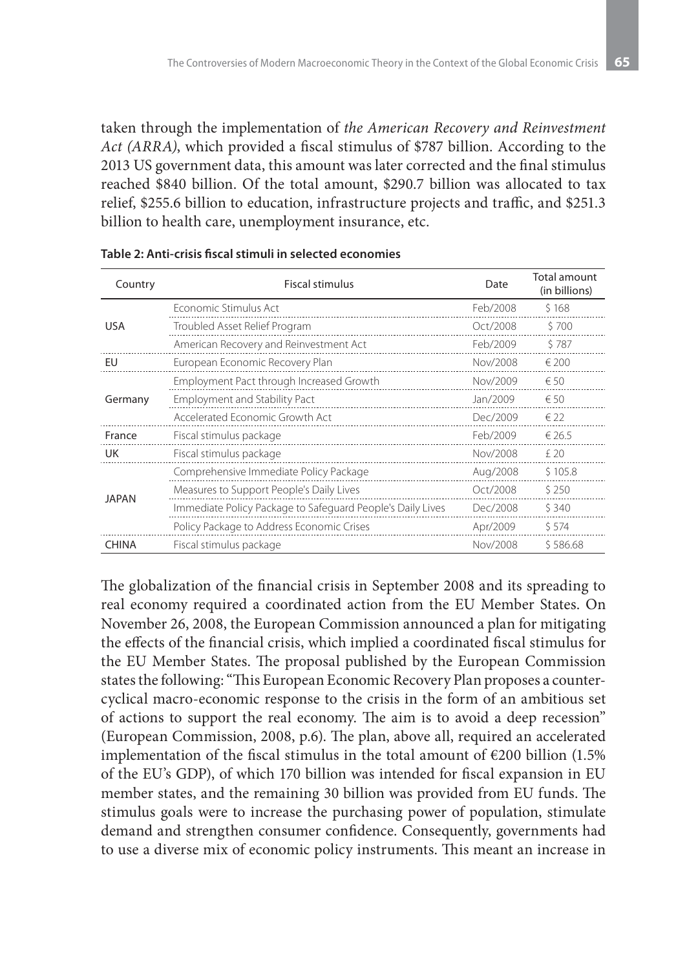taken through the implementation of *the American Recovery and Reinvestment Act (ARRA)*, which provided a fiscal stimulus of \$787 billion. According to the 2013 US government data, this amount was later corrected and the final stimulus reached \$840 billion. Of the total amount, \$290.7 billion was allocated to tax relief, \$255.6 billion to education, infrastructure projects and traffic, and \$251.3 billion to health care, unemployment insurance, etc.

| Country      | <b>Fiscal stimulus</b>                                     | Date     | Total amount<br>(in billions) |
|--------------|------------------------------------------------------------|----------|-------------------------------|
| <b>USA</b>   | Economic Stimulus Act                                      | Feb/2008 | \$168                         |
|              | Troubled Asset Relief Program                              | Oct/2008 | \$700                         |
|              | American Recovery and Reinvestment Act                     | Feb/2009 | \$787                         |
| EU           | European Economic Recovery Plan                            | Nov/2008 | $\epsilon$ 200                |
| Germany      | Employment Pact through Increased Growth                   | Nov/2009 | $\epsilon$ 50                 |
|              | <b>Employment and Stability Pact</b>                       | Jan/2009 | $\epsilon$ 50                 |
|              | Accelerated Economic Growth Act                            | Dec/2009 | $\epsilon$ 22                 |
| France       | Fiscal stimulus package                                    | Feb/2009 | € 26.5                        |
| UK           | Fiscal stimulus package                                    | Nov/2008 | f20                           |
| <b>JAPAN</b> | Comprehensive Immediate Policy Package                     | Aug/2008 | \$105.8                       |
|              | Measures to Support People's Daily Lives                   | Oct/2008 | \$250                         |
|              | Immediate Policy Package to Safeguard People's Daily Lives | Dec/2008 | \$340                         |
|              | Policy Package to Address Economic Crises                  | Apr/2009 | \$574                         |
| <b>CHINA</b> | Fiscal stimulus package                                    | Nov/2008 | \$586.68                      |

The globalization of the financial crisis in September 2008 and its spreading to real economy required a coordinated action from the EU Member States. On November 26, 2008, the European Commission announced a plan for mitigating the effects of the financial crisis, which implied a coordinated fiscal stimulus for the EU Member States. The proposal published by the European Commission states the following: "This European Economic Recovery Plan proposes a countercyclical macro-economic response to the crisis in the form of an ambitious set of actions to support the real economy. The aim is to avoid a deep recession" (European Commission, 2008, p.6). The plan, above all, required an accelerated implementation of the fiscal stimulus in the total amount of  $E200$  billion (1.5%) of the EU's GDP), of which 170 billion was intended for fiscal expansion in EU member states, and the remaining 30 billion was provided from EU funds. The stimulus goals were to increase the purchasing power of population, stimulate demand and strengthen consumer confidence. Consequently, governments had to use a diverse mix of economic policy instruments. This meant an increase in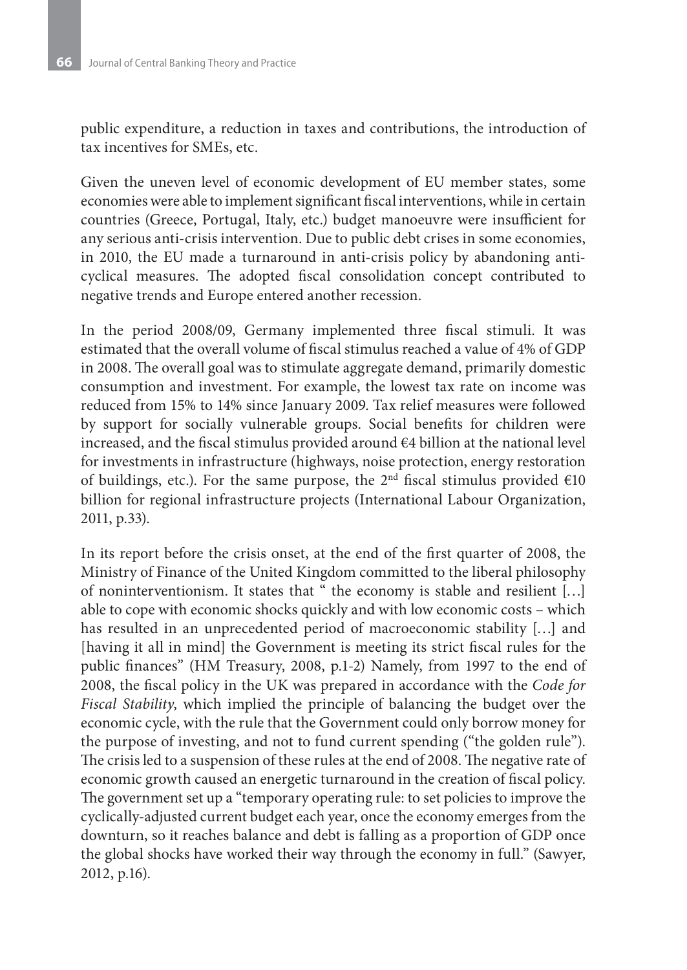public expenditure, a reduction in taxes and contributions, the introduction of tax incentives for SMEs, etc.

Given the uneven level of economic development of EU member states, some economies were able to implement significant fiscal interventions, while in certain countries (Greece, Portugal, Italy, etc.) budget manoeuvre were insufficient for any serious anti-crisis intervention. Due to public debt crises in some economies, in 2010, the EU made a turnaround in anti-crisis policy by abandoning anticyclical measures. The adopted fiscal consolidation concept contributed to negative trends and Europe entered another recession.

In the period 2008/09, Germany implemented three fiscal stimuli. It was estimated that the overall volume of fiscal stimulus reached a value of 4% of GDP in 2008. The overall goal was to stimulate aggregate demand, primarily domestic consumption and investment. For example, the lowest tax rate on income was reduced from 15% to 14% since January 2009. Tax relief measures were followed by support for socially vulnerable groups. Social benefits for children were increased, and the fiscal stimulus provided around  $€4$  billion at the national level for investments in infrastructure (highways, noise protection, energy restoration of buildings, etc.). For the same purpose, the  $2<sup>nd</sup>$  fiscal stimulus provided  $€10$ billion for regional infrastructure projects (International Labour Organization, 2011, p.33).

In its report before the crisis onset, at the end of the first quarter of 2008, the Ministry of Finance of the United Kingdom committed to the liberal philosophy of noninterventionism. It states that " the economy is stable and resilient […] able to cope with economic shocks quickly and with low economic costs – which has resulted in an unprecedented period of macroeconomic stability […] and [having it all in mind] the Government is meeting its strict fiscal rules for the public finances" (HM Treasury, 2008, p.1-2) Namely, from 1997 to the end of 2008, the fiscal policy in the UK was prepared in accordance with the *Code for Fiscal Stability*, which implied the principle of balancing the budget over the economic cycle, with the rule that the Government could only borrow money for the purpose of investing, and not to fund current spending ("the golden rule"). The crisis led to a suspension of these rules at the end of 2008. The negative rate of economic growth caused an energetic turnaround in the creation of fiscal policy. The government set up a "temporary operating rule: to set policies to improve the cyclically-adjusted current budget each year, once the economy emerges from the downturn, so it reaches balance and debt is falling as a proportion of GDP once the global shocks have worked their way through the economy in full." (Sawyer, 2012, p.16).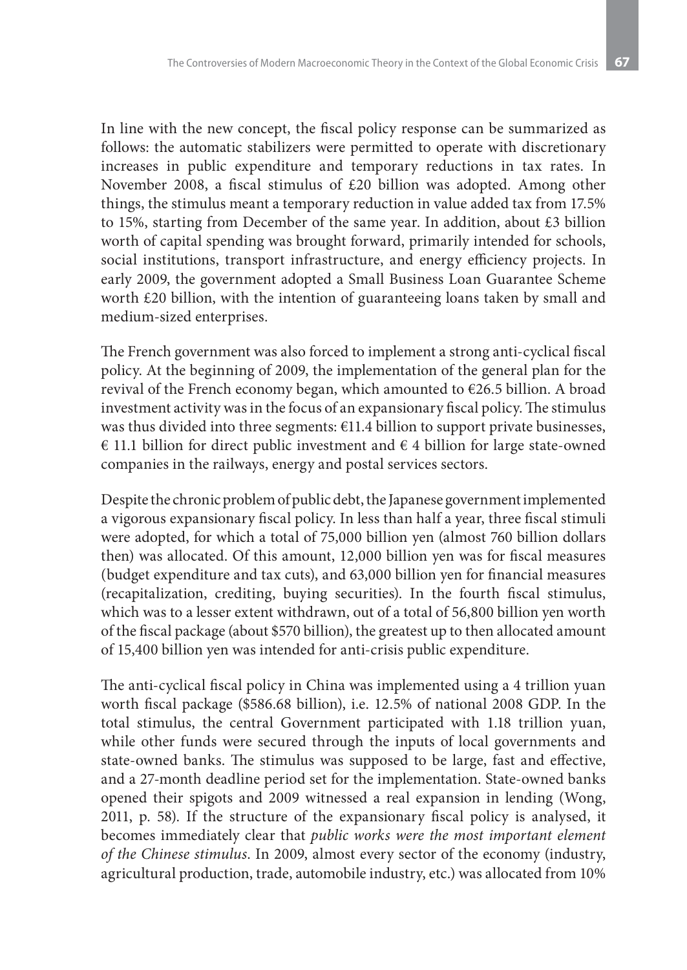In line with the new concept, the fiscal policy response can be summarized as follows: the automatic stabilizers were permitted to operate with discretionary increases in public expenditure and temporary reductions in tax rates. In November 2008, a fiscal stimulus of £20 billion was adopted. Among other things, the stimulus meant a temporary reduction in value added tax from 17.5% to 15%, starting from December of the same year. In addition, about £3 billion worth of capital spending was brought forward, primarily intended for schools, social institutions, transport infrastructure, and energy efficiency projects. In early 2009, the government adopted a Small Business Loan Guarantee Scheme worth £20 billion, with the intention of guaranteeing loans taken by small and medium-sized enterprises.

The French government was also forced to implement a strong anti-cyclical fiscal policy. At the beginning of 2009, the implementation of the general plan for the revival of the French economy began, which amounted to €26.5 billion. A broad investment activity was in the focus of an expansionary fiscal policy. The stimulus was thus divided into three segments: €11.4 billion to support private businesses, € 11.1 billion for direct public investment and  $∈$  4 billion for large state-owned companies in the railways, energy and postal services sectors.

Despite the chronic problem of public debt, the Japanese government implemented a vigorous expansionary fiscal policy. In less than half a year, three fiscal stimuli were adopted, for which a total of 75,000 billion yen (almost 760 billion dollars then) was allocated. Of this amount, 12,000 billion yen was for fiscal measures (budget expenditure and tax cuts), and 63,000 billion yen for financial measures (recapitalization, crediting, buying securities). In the fourth fiscal stimulus, which was to a lesser extent withdrawn, out of a total of 56,800 billion yen worth of the fiscal package (about \$570 billion), the greatest up to then allocated amount of 15,400 billion yen was intended for anti-crisis public expenditure.

The anti-cyclical fiscal policy in China was implemented using a 4 trillion yuan worth fiscal package (\$586.68 billion), i.e. 12.5% of national 2008 GDP. In the total stimulus, the central Government participated with 1.18 trillion yuan, while other funds were secured through the inputs of local governments and state-owned banks. The stimulus was supposed to be large, fast and effective, and a 27-month deadline period set for the implementation. State-owned banks opened their spigots and 2009 witnessed a real expansion in lending (Wong, 2011, p. 58). If the structure of the expansionary fiscal policy is analysed, it becomes immediately clear that *public works were the most important element of the Chinese stimulus*. In 2009, almost every sector of the economy (industry, agricultural production, trade, automobile industry, etc.) was allocated from 10%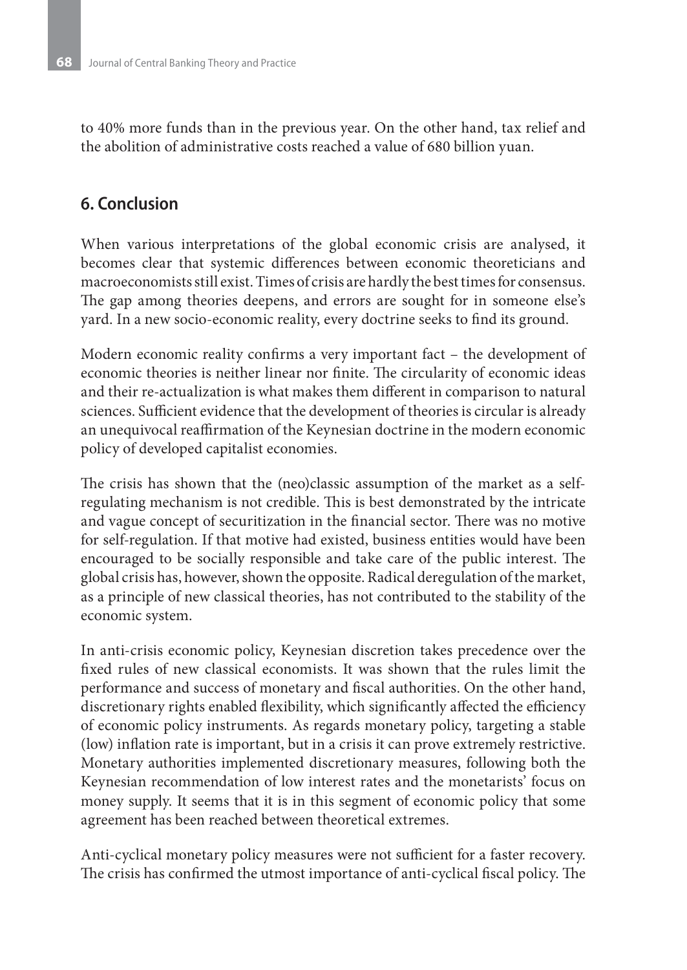to 40% more funds than in the previous year. On the other hand, tax relief and the abolition of administrative costs reached a value of 680 billion yuan.

## **6. Conclusion**

When various interpretations of the global economic crisis are analysed, it becomes clear that systemic differences between economic theoreticians and macroeconomists still exist. Times of crisis are hardly the best times for consensus. The gap among theories deepens, and errors are sought for in someone else's yard. In a new socio-economic reality, every doctrine seeks to find its ground.

Modern economic reality confirms a very important fact – the development of economic theories is neither linear nor finite. The circularity of economic ideas and their re-actualization is what makes them different in comparison to natural sciences. Sufficient evidence that the development of theories is circular is already an unequivocal reaffirmation of the Keynesian doctrine in the modern economic policy of developed capitalist economies.

The crisis has shown that the (neo)classic assumption of the market as a selfregulating mechanism is not credible. This is best demonstrated by the intricate and vague concept of securitization in the financial sector. There was no motive for self-regulation. If that motive had existed, business entities would have been encouraged to be socially responsible and take care of the public interest. The global crisis has, however, shown the opposite. Radical deregulation of the market, as a principle of new classical theories, has not contributed to the stability of the economic system.

In anti-crisis economic policy, Keynesian discretion takes precedence over the fixed rules of new classical economists. It was shown that the rules limit the performance and success of monetary and fiscal authorities. On the other hand, discretionary rights enabled flexibility, which significantly affected the efficiency of economic policy instruments. As regards monetary policy, targeting a stable (low) inflation rate is important, but in a crisis it can prove extremely restrictive. Monetary authorities implemented discretionary measures, following both the Keynesian recommendation of low interest rates and the monetarists' focus on money supply. It seems that it is in this segment of economic policy that some agreement has been reached between theoretical extremes.

Anti-cyclical monetary policy measures were not sufficient for a faster recovery. The crisis has confirmed the utmost importance of anti-cyclical fiscal policy. The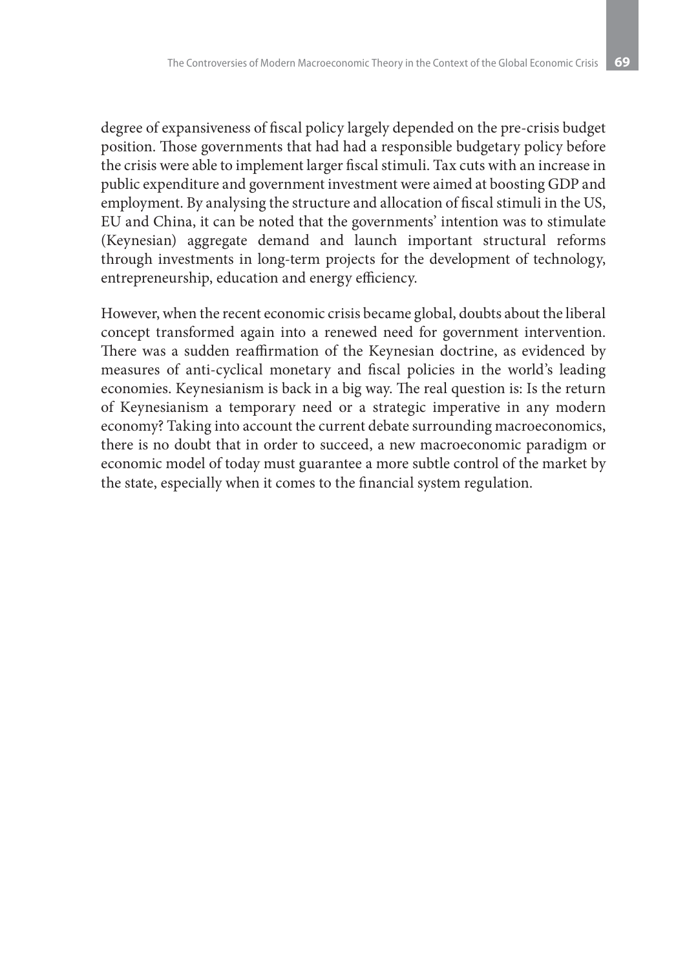degree of expansiveness of fiscal policy largely depended on the pre-crisis budget position. Those governments that had had a responsible budgetary policy before the crisis were able to implement larger fiscal stimuli. Tax cuts with an increase in public expenditure and government investment were aimed at boosting GDP and employment. By analysing the structure and allocation of fiscal stimuli in the US, EU and China, it can be noted that the governments' intention was to stimulate (Keynesian) aggregate demand and launch important structural reforms through investments in long-term projects for the development of technology, entrepreneurship, education and energy efficiency.

However, when the recent economic crisis became global, doubts about the liberal concept transformed again into a renewed need for government intervention. There was a sudden reaffirmation of the Keynesian doctrine, as evidenced by measures of anti-cyclical monetary and fiscal policies in the world's leading economies. Keynesianism is back in a big way. The real question is: Is the return of Keynesianism a temporary need or a strategic imperative in any modern economy? Taking into account the current debate surrounding macroeconomics, there is no doubt that in order to succeed, a new macroeconomic paradigm or economic model of today must guarantee a more subtle control of the market by the state, especially when it comes to the financial system regulation.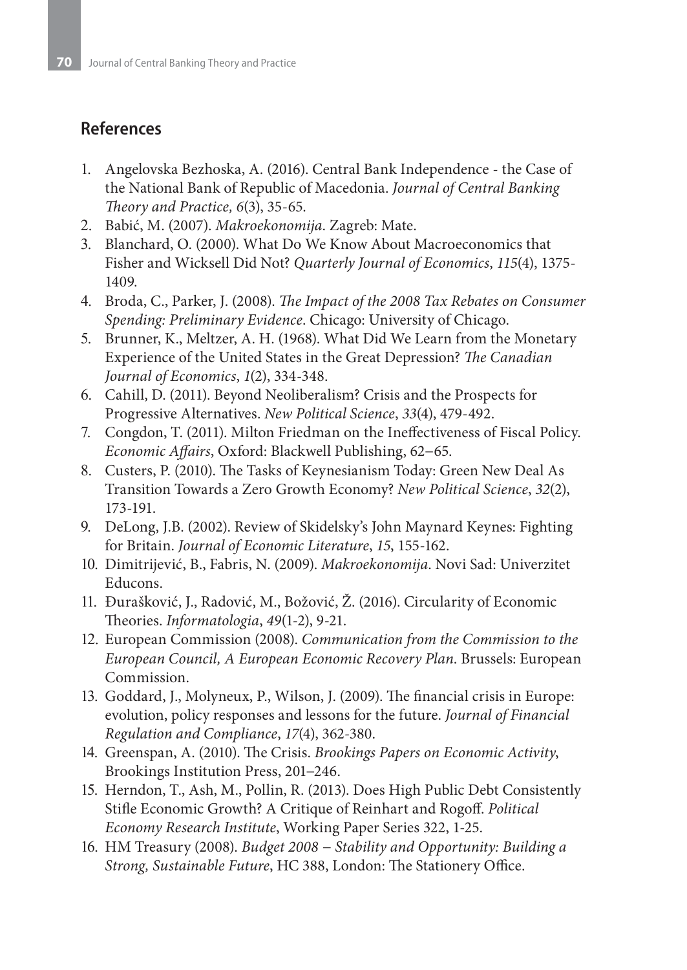# **References**

- 1. Angelovska Bezhoska, A. (2016). Central Bank Independence the Case of the National Bank of Republic of Macedonia. *Journal of Central Banking Theory and Practice, 6*(3), 35-65.
- 2. Babić, M. (2007). *Makroekonomija*. Zagreb: Mate.
- 3. Blanchard, O. (2000). What Do We Know About Macroeconomics that Fisher and Wicksell Did Not? *Quarterly Journal of Economics*, *115*(4), 1375- 1409.
- 4. Broda, C., Parker, J. (2008). *The Impact of the 2008 Tax Rebates on Consumer Spending: Preliminary Evidence*. Chicago: University of Chicago.
- 5. Brunner, K., Meltzer, A. H. (1968). What Did We Learn from the Monetary Experience of the United States in the Great Depression? *The Canadian Journal of Economics*, *1*(2), 334-348.
- 6. Cahill, D. (2011). Beyond Neoliberalism? Crisis and the Prospects for Progressive Alternatives. *New Political Science*, *33*(4), 479-492.
- 7. Congdon, T. (2011). Milton Friedman on the Ineffectiveness of Fiscal Policy. *Economic Affairs*, Oxford: Blackwell Publishing, 62−65.
- 8. Custers, P. (2010). The Tasks of Keynesianism Today: Green New Deal As Transition Towards a Zero Growth Economy? *New Political Science*, *32*(2), 173-191.
- 9. DeLong, J.B. (2002). Review of Skidelsky's John Maynard Keynes: Fighting for Britain. *Journal of Economic Literature*, *15*, 155-162.
- 10. Dimitrijević, B., Fabris, N. (2009). *Makroekonomija*. Novi Sad: Univerzitet Educons.
- 11. Đurašković, J., Radović, M., Božović, Ž. (2016). Circularity of Economic Theories. *Informatologia*, *49*(1-2), 9-21.
- 12. European Commission (2008). *Communication from the Commission to the European Council, A European Economic Recovery Plan*. Brussels: European Commission.
- 13. Goddard, J., Molyneux, P., Wilson, J. (2009). The financial crisis in Europe: evolution, policy responses and lessons for the future. *Journal of Financial Regulation and Compliance*, *17*(4), 362-380.
- 14. Greenspan, A. (2010). The Crisis. *Brookings Papers on Economic Activity*, Brookings Institution Press, 201−246.
- 15. Herndon, T., Ash, M., Pollin, R. (2013). Does High Public Debt Consistently Stifle Economic Growth? A Critique of Reinhart and Rogoff. *Political Economy Research Institute*, Working Paper Series 322, 1-25.
- 16. HM Treasury (2008). *Budget 2008 − Stability and Opportunity: Building a Strong, Sustainable Future*, HC 388, London: The Stationery Office.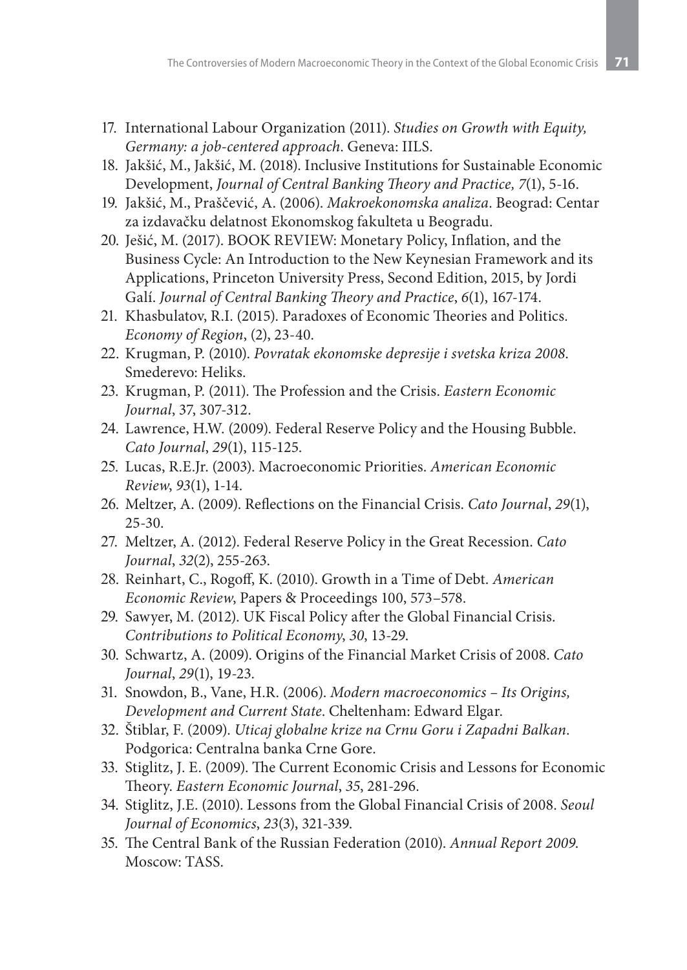- 17. International Labour Organization (2011). *Studies on Growth with Equity*, *Germany: a job-centered approach*. Geneva: IILS.
- 18. Jakšić, M., Jakšić, M. (2018). Inclusive Institutions for Sustainable Economic Development, *Journal of Central Banking Theory and Practice, 7*(1), 5-16.
- 19. Jakšić, M., Praščević, A. (2006). *Makroekonomska analiza*. Beograd: Centar za izdavačku delatnost Ekonomskog fakulteta u Beogradu.
- 20. Ješić, M. (2017). BOOK REVIEW: Monetary Policy, Inflation, and the Business Cycle: An Introduction to the New Keynesian Framework and its Applications, Princeton University Press, Second Edition, 2015, by Jordi Galí. *Journal of Central Banking Theory and Practice*, *6*(1), 167-174.
- 21. Khasbulatov, R.I. (2015). Paradoxes of Economic Theories and Politics. *Economy of Region*, (2), 23-40.
- 22. Krugman, P. (2010). *Povratak ekonomske depresije i svetska kriza 2008*. Smederevo: Heliks.
- 23. Krugman, P. (2011). The Profession and the Crisis. *Eastern Economic Journal*, 37, 307-312.
- 24. Lawrence, H.W. (2009). Federal Reserve Policy and the Housing Bubble. *Cato Journal*, *29*(1), 115-125.
- 25. Lucas, R.E.Jr. (2003). Macroeconomic Priorities. *American Economic Review*, *93*(1), 1-14.
- 26. Meltzer, A. (2009). Reflections on the Financial Crisis. *Cato Journal*, *29*(1), 25-30.
- 27. Meltzer, A. (2012). Federal Reserve Policy in the Great Recession. *Cato Journal*, *32*(2), 255-263.
- 28. Reinhart, C., Rogoff, K. (2010). Growth in a Time of Debt. *American Economic Review*, Papers & Proceedings 100, 573–578.
- 29. Sawyer, M. (2012). UK Fiscal Policy after the Global Financial Crisis. *Contributions to Political Economy*, *30*, 13-29.
- 30. Schwartz, A. (2009). Origins of the Financial Market Crisis of 2008. *Cato Journal*, *29*(1), 19-23.
- 31. Snowdon, B., Vane, H.R. (2006). *Modern macroeconomics Its Origins, Development and Current State*. Cheltenham: Edward Elgar.
- 32. Štiblar, F. (2009). *Uticaj globalne krize na Crnu Goru i Zapadni Balkan*. Podgorica: Centralna banka Crne Gore.
- 33. Stiglitz, J. E. (2009). The Current Economic Crisis and Lessons for Economic Theory. *Eastern Economic Journal*, *35*, 281-296.
- 34. Stiglitz, J.E. (2010). Lessons from the Global Financial Crisis of 2008. *Seoul Journal of Economics*, *23*(3), 321-339.
- 35. The Central Bank of the Russian Federation (2010). *Annual Report 2009*. Moscow: TASS.